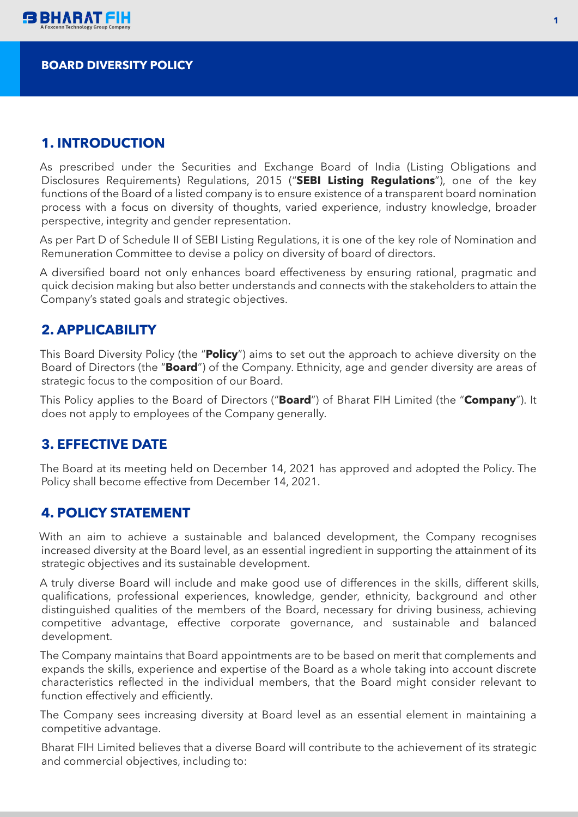

### **BOARD DIVERSITY POLICY**

### **1. INTRODUCTION**

As prescribed under the Securities and Exchange Board of India (Listing Obligations and Disclosures Requirements) Regulations, 2015 ("**SEBI Listing Regulations**"), one of the key functions of the Board of a listed company is to ensure existence of a transparent board nomination process with a focus on diversity of thoughts, varied experience, industry knowledge, broader perspective, integrity and gender representation.

As per Part D of Schedule II of SEBI Listing Regulations, it is one of the key role of Nomination and Remuneration Committee to devise a policy on diversity of board of directors.

A diversified board not only enhances board effectiveness by ensuring rational, pragmatic and quick decision making but also better understands and connects with the stakeholders to attain the Company's stated goals and strategic objectives.

## **2. APPLICABILITY**

This Board Diversity Policy (the "**Policy**") aims to set out the approach to achieve diversity on the Board of Directors (the "**Board**") of the Company. Ethnicity, age and gender diversity are areas of strategic focus to the composition of our Board.

This Policy applies to the Board of Directors ("**Board**") of Bharat FIH Limited (the "**Company**"). It does not apply to employees of the Company generally.

### **3. EFFECTIVE DATE**

The Board at its meeting held on December 14, 2021 has approved and adopted the Policy. The Policy shall become effective from December 14, 2021.

### **4. POLICY STATEMENT**

With an aim to achieve a sustainable and balanced development, the Company recognises increased diversity at the Board level, as an essential ingredient in supporting the attainment of its strategic objectives and its sustainable development.

A truly diverse Board will include and make good use of differences in the skills, different skills, qualifications, professional experiences, knowledge, gender, ethnicity, background and other distinguished qualities of the members of the Board, necessary for driving business, achieving competitive advantage, effective corporate governance, and sustainable and balanced development.

The Company maintains that Board appointments are to be based on merit that complements and expands the skills, experience and expertise of the Board as a whole taking into account discrete characteristics reflected in the individual members, that the Board might consider relevant to function effectively and efficiently.

The Company sees increasing diversity at Board level as an essential element in maintaining a competitive advantage.

Bharat FIH Limited believes that a diverse Board will contribute to the achievement of its strategic and commercial objectives, including to: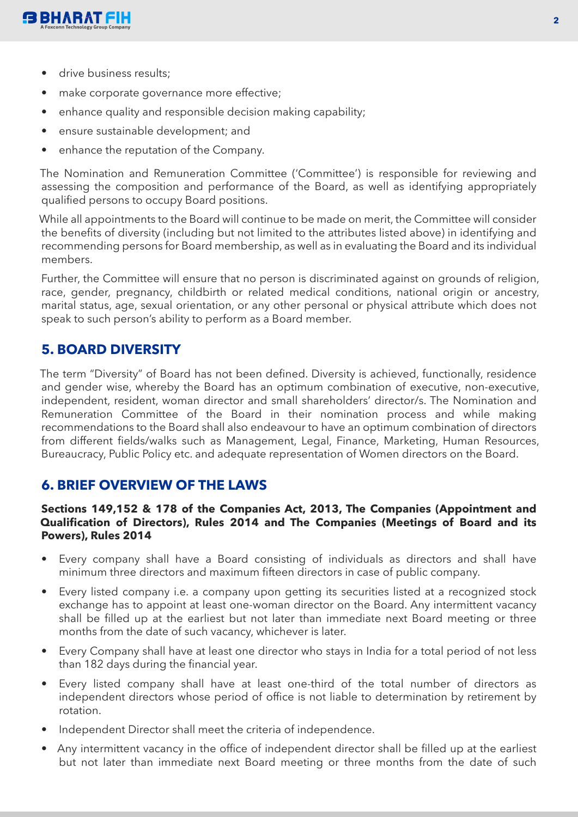

- drive business results:
- make corporate governance more effective;
- enhance quality and responsible decision making capability;
- ensure sustainable development; and
- enhance the reputation of the Company.

The Nomination and Remuneration Committee ('Committee') is responsible for reviewing and assessing the composition and performance of the Board, as well as identifying appropriately qualified persons to occupy Board positions.

While all appointments to the Board will continue to be made on merit, the Committee will consider the benefits of diversity (including but not limited to the attributes listed above) in identifying and recommending persons for Board membership, as well as in evaluating the Board and its individual members.

Further, the Committee will ensure that no person is discriminated against on grounds of religion, race, gender, pregnancy, childbirth or related medical conditions, national origin or ancestry, marital status, age, sexual orientation, or any other personal or physical attribute which does not speak to such person's ability to perform as a Board member.

# **5. BOARD DIVERSITY**

The term "Diversity" of Board has not been defined. Diversity is achieved, functionally, residence and gender wise, whereby the Board has an optimum combination of executive, non-executive, independent, resident, woman director and small shareholders' director/s. The Nomination and Remuneration Committee of the Board in their nomination process and while making recommendations to the Board shall also endeavour to have an optimum combination of directors from different fields/walks such as Management, Legal, Finance, Marketing, Human Resources, Bureaucracy, Public Policy etc. and adequate representation of Women directors on the Board.

## **6. BRIEF OVERVIEW OF THE LAWS**

#### **Sections 149,152 & 178 of the Companies Act, 2013, The Companies (Appointment and Qualification of Directors), Rules 2014 and The Companies (Meetings of Board and its Powers), Rules 2014**

- Every company shall have a Board consisting of individuals as directors and shall have minimum three directors and maximum fifteen directors in case of public company.
- Every listed company i.e. a company upon getting its securities listed at a recognized stock exchange has to appoint at least one-woman director on the Board. Any intermittent vacancy shall be filled up at the earliest but not later than immediate next Board meeting or three months from the date of such vacancy, whichever is later.
- Every Company shall have at least one director who stays in India for a total period of not less than 182 days during the financial year.
- Every listed company shall have at least one-third of the total number of directors as independent directors whose period of office is not liable to determination by retirement by rotation.
- Independent Director shall meet the criteria of independence.
- Any intermittent vacancy in the office of independent director shall be filled up at the earliest but not later than immediate next Board meeting or three months from the date of such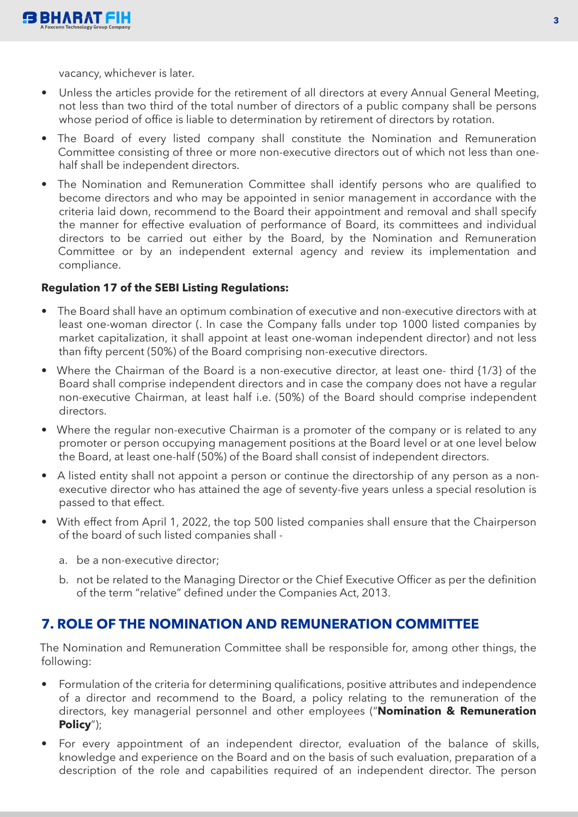

vacancy, whichever is later.

- Unless the articles provide for the retirement of all directors at every Annual General Meeting, not less than two third of the total number of directors of a public company shall be persons whose period of office is liable to determination by retirement of directors by rotation.
- The Board of every listed company shall constitute the Nomination and Remuneration Committee consisting of three or more non-executive directors out of which not less than onehalf shall be independent directors.
- The Nomination and Remuneration Committee shall identify persons who are qualified to become directors and who may be appointed in senior management in accordance with the criteria laid down, recommend to the Board their appointment and removal and shall specify the manner for effective evaluation of performance of Board, its committees and individual directors to be carried out either by the Board, by the Nomination and Remuneration Committee or by an independent external agency and review its implementation and compliance.

#### **Regulation 17 of the SEBI Listing Regulations:**

- The Board shall have an optimum combination of executive and non-executive directors with at least one-woman director (. In case the Company falls under top 1000 listed companies by market capitalization, it shall appoint at least one-woman independent director) and not less than fifty percent (50%) of the Board comprising non-executive directors.
- Where the Chairman of the Board is a non-executive director, at least one- third {1/3} of the Board shall comprise independent directors and in case the company does not have a regular non-executive Chairman, at least half i.e. (50%) of the Board should comprise independent directors.
- Where the regular non-executive Chairman is a promoter of the company or is related to any promoter or person occupying management positions at the Board level or at one level below the Board, at least one-half (50%) of the Board shall consist of independent directors.
- A listed entity shall not appoint a person or continue the directorship of any person as a nonexecutive director who has attained the age of seventy-five years unless a special resolution is passed to that effect.
- With effect from April 1, 2022, the top 500 listed companies shall ensure that the Chairperson of the board of such listed companies shall
	- a. be a non-executive director;
	- b. not be related to the Managing Director or the Chief Executive Officer as per the definition of the term "relative" defined under the Companies Act, 2013.

## **7. ROLE OF THE NOMINATION AND REMUNERATION COMMITTEE**

The Nomination and Remuneration Committee shall be responsible for, among other things, the following:

- Formulation of the criteria for determining qualifications, positive attributes and independence of a director and recommend to the Board, a policy relating to the remuneration of the directors, key managerial personnel and other employees ("**Nomination & Remuneration Policy**");
- For every appointment of an independent director, evaluation of the balance of skills, knowledge and experience on the Board and on the basis of such evaluation, preparation of a description of the role and capabilities required of an independent director. The person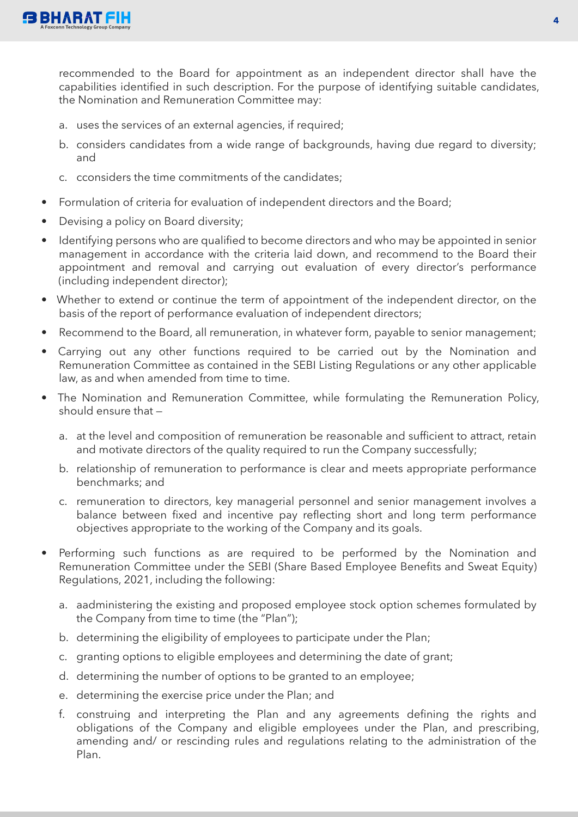

recommended to the Board for appointment as an independent director shall have the capabilities identified in such description. For the purpose of identifying suitable candidates, the Nomination and Remuneration Committee may:

- a. uses the services of an external agencies, if required;
- b. considers candidates from a wide range of backgrounds, having due regard to diversity; and
- c. cconsiders the time commitments of the candidates;
- Formulation of criteria for evaluation of independent directors and the Board;
- Devising a policy on Board diversity;
- Identifying persons who are qualified to become directors and who may be appointed in senior management in accordance with the criteria laid down, and recommend to the Board their appointment and removal and carrying out evaluation of every director's performance (including independent director);
- Whether to extend or continue the term of appointment of the independent director, on the basis of the report of performance evaluation of independent directors;
- Recommend to the Board, all remuneration, in whatever form, payable to senior management;
- Carrying out any other functions required to be carried out by the Nomination and Remuneration Committee as contained in the SEBI Listing Regulations or any other applicable law, as and when amended from time to time.
- The Nomination and Remuneration Committee, while formulating the Remuneration Policy, should ensure that
	- a. at the level and composition of remuneration be reasonable and sufficient to attract, retain and motivate directors of the quality required to run the Company successfully;
	- b. relationship of remuneration to performance is clear and meets appropriate performance benchmarks; and
	- c. remuneration to directors, key managerial personnel and senior management involves a balance between fixed and incentive pay reflecting short and long term performance objectives appropriate to the working of the Company and its goals.
- Performing such functions as are required to be performed by the Nomination and Remuneration Committee under the SEBI (Share Based Employee Benefits and Sweat Equity) Regulations, 2021, including the following:
	- a. aadministering the existing and proposed employee stock option schemes formulated by the Company from time to time (the "Plan");
	- b. determining the eligibility of employees to participate under the Plan;
	- c. granting options to eligible employees and determining the date of grant;
	- d. determining the number of options to be granted to an employee;
	- e. determining the exercise price under the Plan; and
	- f. construing and interpreting the Plan and any agreements defining the rights and obligations of the Company and eligible employees under the Plan, and prescribing, amending and/ or rescinding rules and regulations relating to the administration of the Plan.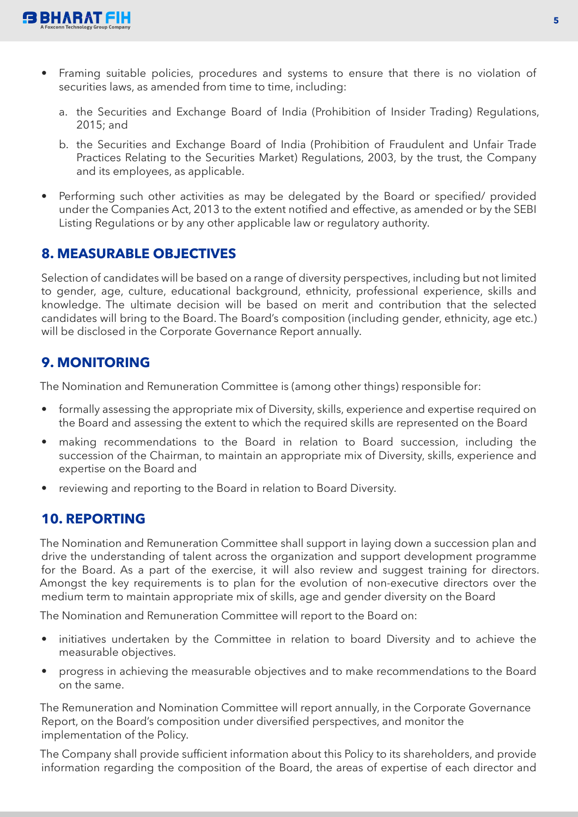

- Framing suitable policies, procedures and systems to ensure that there is no violation of securities laws, as amended from time to time, including:
	- a. the Securities and Exchange Board of India (Prohibition of Insider Trading) Regulations, 2015; and
	- b. the Securities and Exchange Board of India (Prohibition of Fraudulent and Unfair Trade Practices Relating to the Securities Market) Regulations, 2003, by the trust, the Company and its employees, as applicable.
- Performing such other activities as may be delegated by the Board or specified/ provided under the Companies Act, 2013 to the extent notified and effective, as amended or by the SEBI Listing Regulations or by any other applicable law or regulatory authority.

# **8. MEASURABLE OBJECTIVES**

Selection of candidates will be based on a range of diversity perspectives, including but not limited to gender, age, culture, educational background, ethnicity, professional experience, skills and knowledge. The ultimate decision will be based on merit and contribution that the selected candidates will bring to the Board. The Board's composition (including gender, ethnicity, age etc.) will be disclosed in the Corporate Governance Report annually.

# **9. MONITORING**

The Nomination and Remuneration Committee is (among other things) responsible for:

- formally assessing the appropriate mix of Diversity, skills, experience and expertise required on the Board and assessing the extent to which the required skills are represented on the Board
- making recommendations to the Board in relation to Board succession, including the succession of the Chairman, to maintain an appropriate mix of Diversity, skills, experience and expertise on the Board and
- reviewing and reporting to the Board in relation to Board Diversity.

# **10. REPORTING**

The Nomination and Remuneration Committee shall support in laying down a succession plan and drive the understanding of talent across the organization and support development programme for the Board. As a part of the exercise, it will also review and suggest training for directors. Amongst the key requirements is to plan for the evolution of non-executive directors over the medium term to maintain appropriate mix of skills, age and gender diversity on the Board

The Nomination and Remuneration Committee will report to the Board on:

- initiatives undertaken by the Committee in relation to board Diversity and to achieve the measurable objectives.
- progress in achieving the measurable objectives and to make recommendations to the Board on the same.

The Remuneration and Nomination Committee will report annually, in the Corporate Governance Report, on the Board's composition under diversified perspectives, and monitor the implementation of the Policy.

The Company shall provide sufficient information about this Policy to its shareholders, and provide information regarding the composition of the Board, the areas of expertise of each director and